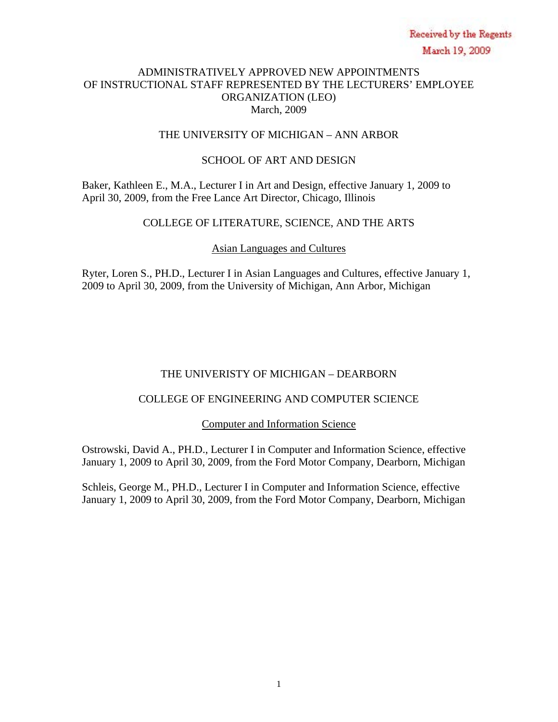# ADMINISTRATIVELY APPROVED NEW APPOINTMENTS OF INSTRUCTIONAL STAFF REPRESENTED BY THE LECTURERS' EMPLOYEE ORGANIZATION (LEO) March, 2009

# THE UNIVERSITY OF MICHIGAN – ANN ARBOR

# SCHOOL OF ART AND DESIGN

Baker, Kathleen E., M.A., Lecturer I in Art and Design, effective January 1, 2009 to April 30, 2009, from the Free Lance Art Director, Chicago, Illinois

# COLLEGE OF LITERATURE, SCIENCE, AND THE ARTS

# Asian Languages and Cultures

Ryter, Loren S., PH.D., Lecturer I in Asian Languages and Cultures, effective January 1, 2009 to April 30, 2009, from the University of Michigan, Ann Arbor, Michigan

# THE UNIVERISTY OF MICHIGAN – DEARBORN

# COLLEGE OF ENGINEERING AND COMPUTER SCIENCE

Computer and Information Science

Ostrowski, David A., PH.D., Lecturer I in Computer and Information Science, effective January 1, 2009 to April 30, 2009, from the Ford Motor Company, Dearborn, Michigan

Schleis, George M., PH.D., Lecturer I in Computer and Information Science, effective January 1, 2009 to April 30, 2009, from the Ford Motor Company, Dearborn, Michigan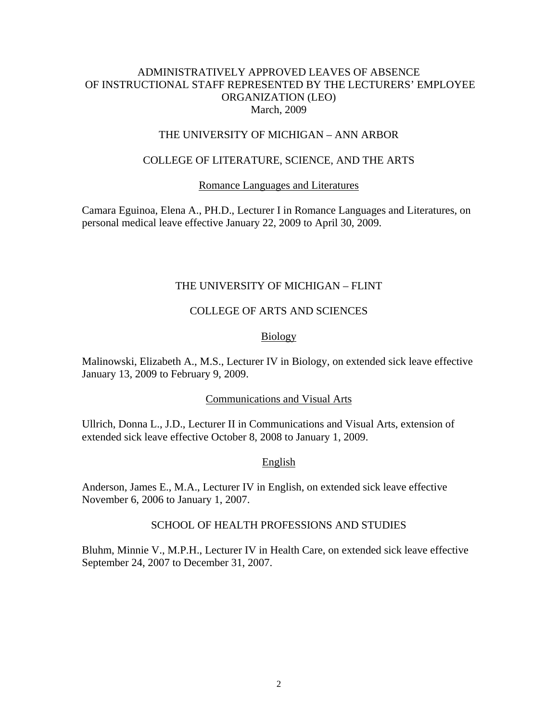### ADMINISTRATIVELY APPROVED LEAVES OF ABSENCE OF INSTRUCTIONAL STAFF REPRESENTED BY THE LECTURERS' EMPLOYEE ORGANIZATION (LEO) March, 2009

### THE UNIVERSITY OF MICHIGAN – ANN ARBOR

### COLLEGE OF LITERATURE, SCIENCE, AND THE ARTS

#### Romance Languages and Literatures

Camara Eguinoa, Elena A., PH.D., Lecturer I in Romance Languages and Literatures, on personal medical leave effective January 22, 2009 to April 30, 2009.

#### THE UNIVERSITY OF MICHIGAN – FLINT

### COLLEGE OF ARTS AND SCIENCES

#### Biology

Malinowski, Elizabeth A., M.S., Lecturer IV in Biology, on extended sick leave effective January 13, 2009 to February 9, 2009.

#### Communications and Visual Arts

Ullrich, Donna L., J.D., Lecturer II in Communications and Visual Arts, extension of extended sick leave effective October 8, 2008 to January 1, 2009.

#### English

Anderson, James E., M.A., Lecturer IV in English, on extended sick leave effective November 6, 2006 to January 1, 2007.

#### SCHOOL OF HEALTH PROFESSIONS AND STUDIES

Bluhm, Minnie V., M.P.H., Lecturer IV in Health Care, on extended sick leave effective September 24, 2007 to December 31, 2007.